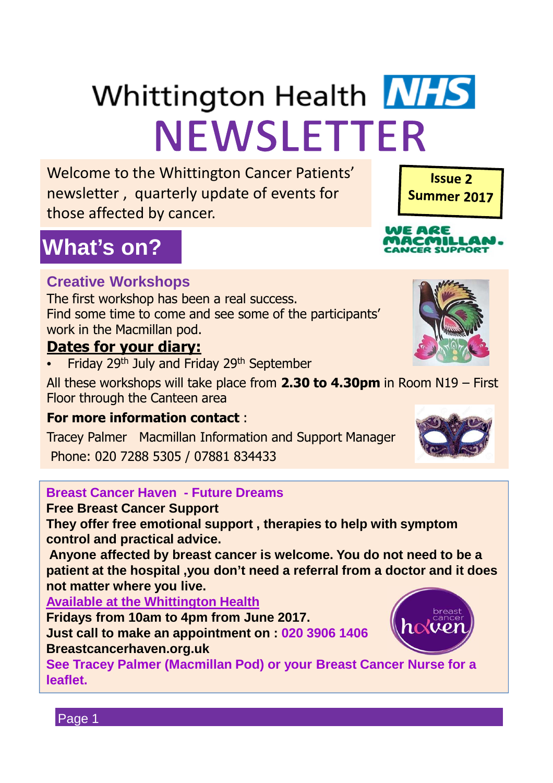# Whittington Health NHS **NEWSLETTER**

Welcome to the Whittington Cancer Patients' newsletter , quarterly update of events for those affected by cancer.

## **What's on?**

#### **Creative Workshops**

The first workshop has been a real success. Find some time to come and see some of the participants' work in the Macmillan pod.

#### **Dates for your diary:**

Friday 29<sup>th</sup> July and Friday 29<sup>th</sup> September

All these workshops will take place from **2.30 to 4.30pm** in Room N19 – First Floor through the Canteen area

#### **For more information contact** :

Tracey Palmer Macmillan Information and Support Manager Phone: 020 7288 5305 / 07881 834433

#### **Breast Cancer Haven - Future Dreams**

#### **Free Breast Cancer Support**

**They offer free emotional support , therapies to help with symptom control and practical advice.**

**Anyone affected by breast cancer is welcome. You do not need to be a patient at the hospital ,you don't need a referral from a doctor and it does not matter where you live.** 

**Available at the Whittington Health**

**Fridays from 10am to 4pm from June 2017. Just call to make an appointment on : 020 3906 1406 Breastcancerhaven.org.uk**

**See Tracey Palmer (Macmillan Pod) or your Breast Cancer Nurse for a leaflet.**









**MILLA**<br>suppor

Page 1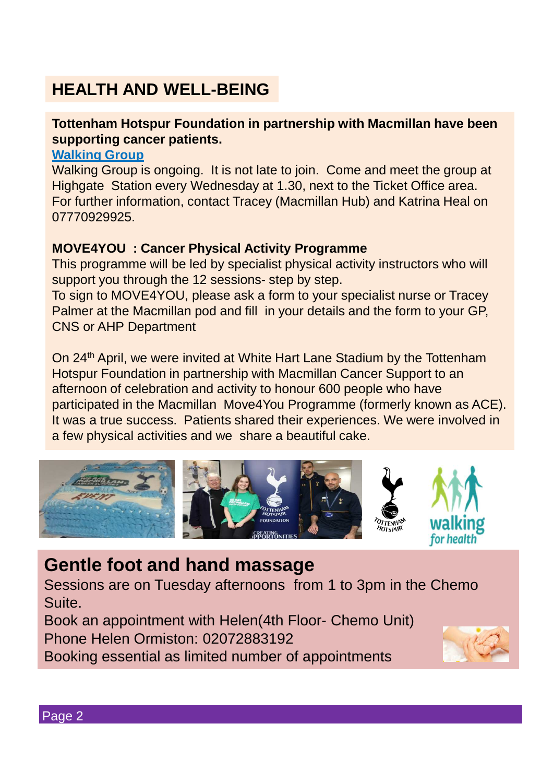## **HEALTH AND WELL-BEING**

#### **Tottenham Hotspur Foundation in partnership with Macmillan have been supporting cancer patients.**

#### **Walking Group**

Walking Group is ongoing. It is not late to join. Come and meet the group at Highgate Station every Wednesday at 1.30, next to the Ticket Office area. For further information, contact Tracey (Macmillan Hub) and Katrina Heal on 07770929925.

#### **MOVE4YOU : Cancer Physical Activity Programme**

This programme will be led by specialist physical activity instructors who will support you through the 12 sessions- step by step.

To sign to MOVE4YOU, please ask a form to your specialist nurse or Tracey Palmer at the Macmillan pod and fill in your details and the form to your GP, CNS or AHP Department

On 24<sup>th</sup> April, we were invited at White Hart Lane Stadium by the Tottenham Hotspur Foundation in partnership with Macmillan Cancer Support to an afternoon of celebration and activity to honour 600 people who have participated in the Macmillan Move4You Programme (formerly known as ACE). It was a true success. Patients shared their experiences. We were involved in a few physical activities and we share a beautiful cake.



## **Gentle foot and hand massage**

Sessions are on Tuesday afternoons from 1 to 3pm in the Chemo Suite.

Book an appointment with Helen(4th Floor- Chemo Unit) Phone Helen Ormiston: 02072883192

Booking essential as limited number of appointments

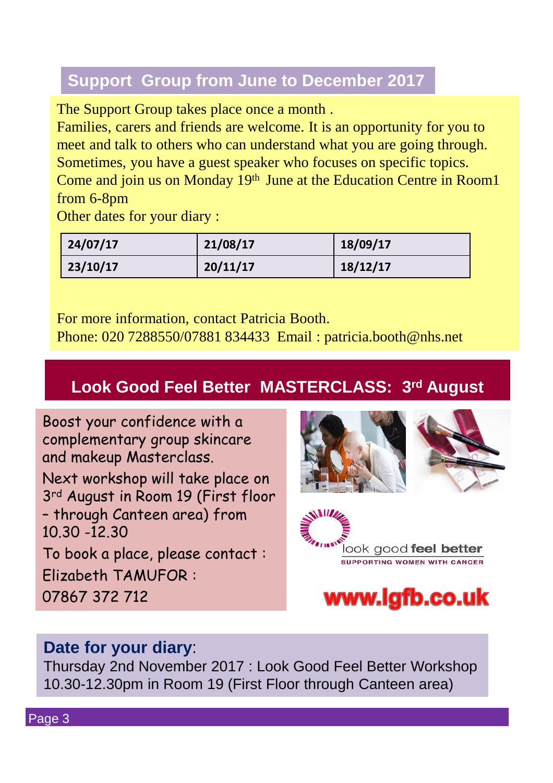## **Support Group from June to December 2017**

The Support Group takes place once a month .

Families, carers and friends are welcome. It is an opportunity for you to meet and talk to others who can understand what you are going through. Sometimes, you have a guest speaker who focuses on specific topics. Come and join us on Monday 19<sup>th</sup> June at the Education Centre in Room1 from 6-8pm

Other dates for your diary :

| 24/07/17 | 21/08/17 | 18/09/17 |
|----------|----------|----------|
| 23/10/17 | 20/11/17 | 18/12/17 |

For more information, contact Patricia Booth. Phone: 020 7288550/07881 834433 Email : patricia.booth@nhs.net

## **Look Good Feel Better MASTERCLASS: 3rd August**

Boost your confidence with a complementary group skincare and makeup Masterclass. Next workshop will take place on 3rd August in Room 19 (First floor – through Canteen area) from 10.30 -12.30 To book a place, please contact :

Elizabeth TAMUFOR :

07867 372 712







### **Date for your diary**:

Thursday 2nd November 2017 : Look Good Feel Better Workshop 10.30-12.30pm in Room 19 (First Floor through Canteen area)